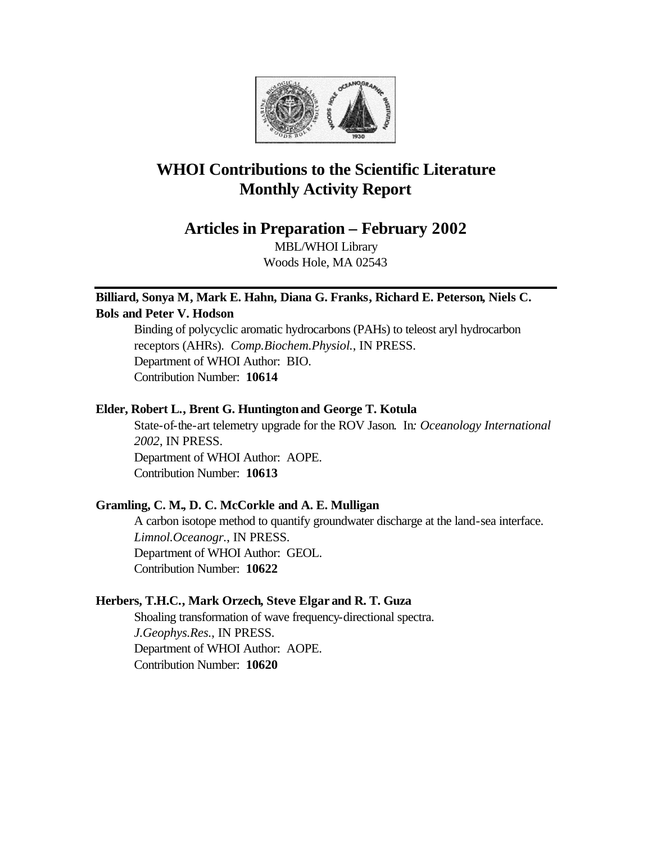

# **WHOI Contributions to the Scientific Literature Monthly Activity Report**

**Articles in Preparation – February 2002**

MBL/WHOI Library Woods Hole, MA 02543

# **Billiard, Sonya M, Mark E. Hahn, Diana G. Franks, Richard E. Peterson, Niels C. Bols and Peter V. Hodson**

Binding of polycyclic aromatic hydrocarbons (PAHs) to teleost aryl hydrocarbon receptors (AHRs). *Comp.Biochem.Physiol.*, IN PRESS. Department of WHOI Author: BIO. Contribution Number: **10614**

# **Elder, Robert L., Brent G. Huntington and George T. Kotula**

State-of-the-art telemetry upgrade for the ROV Jason. In*: Oceanology International 2002*, IN PRESS. Department of WHOI Author: AOPE. Contribution Number: **10613**

# **Gramling, C. M., D. C. McCorkle and A. E. Mulligan**

A carbon isotope method to quantify groundwater discharge at the land-sea interface. *Limnol.Oceanogr.*, IN PRESS. Department of WHOI Author: GEOL. Contribution Number: **10622**

# **Herbers, T.H.C., Mark Orzech, Steve Elgar and R. T. Guza**

Shoaling transformation of wave frequency-directional spectra. *J.Geophys.Res.*, IN PRESS. Department of WHOI Author: AOPE. Contribution Number: **10620**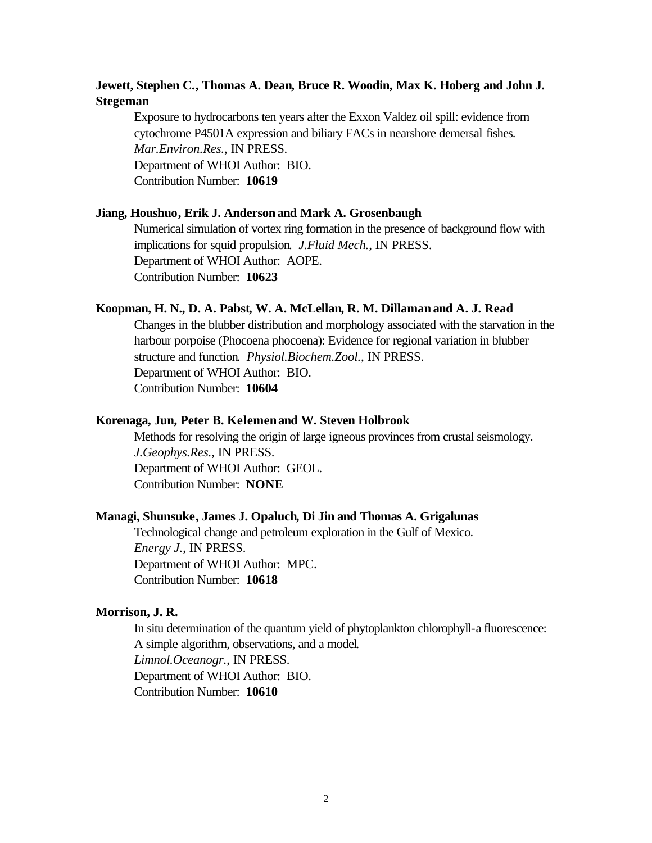### **Jewett, Stephen C., Thomas A. Dean, Bruce R. Woodin, Max K. Hoberg and John J. Stegeman**

Exposure to hydrocarbons ten years after the Exxon Valdez oil spill: evidence from cytochrome P4501A expression and biliary FACs in nearshore demersal fishes. *Mar.Environ.Res.*, IN PRESS. Department of WHOI Author: BIO. Contribution Number: **10619**

#### **Jiang, Houshuo, Erik J. Anderson and Mark A. Grosenbaugh**

Numerical simulation of vortex ring formation in the presence of background flow with implications for squid propulsion. *J.Fluid Mech.*, IN PRESS. Department of WHOI Author: AOPE. Contribution Number: **10623**

#### **Koopman, H. N., D. A. Pabst, W. A. McLellan, R. M. Dillaman and A. J. Read**

Changes in the blubber distribution and morphology associated with the starvation in the harbour porpoise (Phocoena phocoena): Evidence for regional variation in blubber structure and function. *Physiol.Biochem.Zool.*, IN PRESS. Department of WHOI Author: BIO. Contribution Number: **10604**

### **Korenaga, Jun, Peter B. Kelemen and W. Steven Holbrook**

Methods for resolving the origin of large igneous provinces from crustal seismology. *J.Geophys.Res.*, IN PRESS. Department of WHOI Author: GEOL. Contribution Number: **NONE**

### **Managi, Shunsuke, James J. Opaluch, Di Jin and Thomas A. Grigalunas**

Technological change and petroleum exploration in the Gulf of Mexico. *Energy J.*, IN PRESS. Department of WHOI Author: MPC. Contribution Number: **10618**

### **Morrison, J. R.**

In situ determination of the quantum yield of phytoplankton chlorophyll-a fluorescence: A simple algorithm, observations, and a model. *Limnol.Oceanogr.*, IN PRESS. Department of WHOI Author: BIO. Contribution Number: **10610**